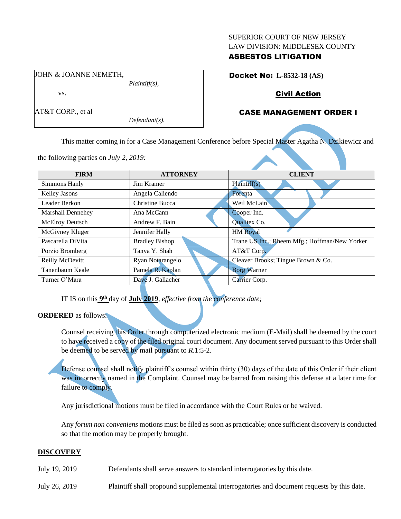#### SUPERIOR COURT OF NEW JERSEY LAW DIVISION: MIDDLESEX COUNTY

### ASBESTOS LITIGATION

JOHN & JOANNE NEMETH, *Plaintiff(s),*

the following parties on *July 2, 2019:*

vs.

AT&T CORP., et al

*Defendant(s).*

Docket No: **L-8532-18 (AS)**

# Civil Action

# CASE MANAGEMENT ORDER I

This matter coming in for a Case Management Conference before Special Master Agatha N. Dzikiewicz and

| <b>FIRM</b>              | <b>ATTORNEY</b>       | <b>CLIENT</b>                                 |
|--------------------------|-----------------------|-----------------------------------------------|
| Simmons Hanly            | Jim Kramer            | Plaintiff(s)                                  |
| Kelley Jasons            | Angela Caliendo       | Forenta                                       |
| Leader Berkon            | Christine Bucca       | Weil McLain                                   |
| <b>Marshall Dennehey</b> | Ana McCann            | Cooper Ind.                                   |
| McElroy Deutsch          | Andrew F. Bain        | Qualitex Co.                                  |
| McGivney Kluger          | Jennifer Hally        | <b>HM</b> Royal                               |
| Pascarella DiVita        | <b>Bradley Bishop</b> | Trane US Inc.; Rheem Mfg.; Hoffman/New Yorker |
| Porzio Bromberg          | Tanya Y. Shah         | AT&T Corp.                                    |
| Reilly McDevitt          | Ryan Notarangelo      | Cleaver Brooks; Tingue Brown & Co.            |
| Tanenbaum Keale          | Pamela R. Kaplan      | <b>Borg Warner</b>                            |
| Turner O'Mara            | Dave J. Gallacher     | Carrier Corp.                                 |

IT IS on this **9 th** day of **July 2019**, *effective from the conference date;*

## **ORDERED** as follows:

Counsel receiving this Order through computerized electronic medium (E-Mail) shall be deemed by the court to have received a copy of the filed original court document. Any document served pursuant to this Order shall be deemed to be served by mail pursuant to *R*.1:5-2.

Defense counsel shall notify plaintiff's counsel within thirty (30) days of the date of this Order if their client was incorrectly named in the Complaint. Counsel may be barred from raising this defense at a later time for failure to comply.

Any jurisdictional motions must be filed in accordance with the Court Rules or be waived.

Any *forum non conveniens* motions must be filed as soon as practicable; once sufficient discovery is conducted so that the motion may be properly brought.

## **DISCOVERY**

July 19, 2019 Defendants shall serve answers to standard interrogatories by this date.

July 26, 2019 Plaintiff shall propound supplemental interrogatories and document requests by this date.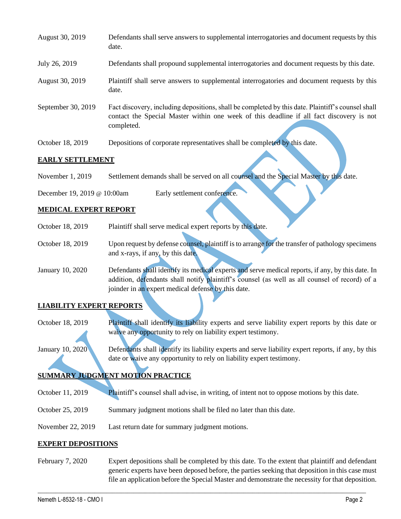| August 30, 2019    | Defendants shall serve answers to supplemental interrogatories and document requests by this<br>date.                                                                                                       |
|--------------------|-------------------------------------------------------------------------------------------------------------------------------------------------------------------------------------------------------------|
| July 26, 2019      | Defendants shall propound supplemental interrogatories and document requests by this date.                                                                                                                  |
| August 30, 2019    | Plaintiff shall serve answers to supplemental interrogatories and document requests by this<br>date.                                                                                                        |
| September 30, 2019 | Fact discovery, including depositions, shall be completed by this date. Plaintiff's counsel shall<br>contact the Special Master within one week of this deadline if all fact discovery is not<br>completed. |
| October 18, 2019   | Depositions of corporate representatives shall be completed by this date.                                                                                                                                   |

#### **EARLY SETTLEMENT**

November 1, 2019 Settlement demands shall be served on all counsel and the Special Master by this date.

December 19, 2019 @ 10:00am Early settlement conference.

### **MEDICAL EXPERT REPORT**

| October 18, 2019 | Plaintiff shall serve medical expert reports by this date.                                                                                                                                         |
|------------------|----------------------------------------------------------------------------------------------------------------------------------------------------------------------------------------------------|
| October 18, 2019 | Upon request by defense counsel, plaintiff is to arrange for the transfer of pathology specimens                                                                                                   |
|                  | and x-rays, if any, by this date.                                                                                                                                                                  |
| January 10, 2020 | Defendants shall identify its medical experts and serve medical reports, if any, by this date. In<br>addition, defendants shall notify plaintiff's counsel (as well as all counsel of record) of a |
|                  | joinder in an expert medical defense by this date.                                                                                                                                                 |

## **LIABILITY EXPERT REPORT**

October 18, 2019 Plaintiff shall identify its liability experts and serve liability expert reports by this date or waive any opportunity to rely on liability expert testimony.

January 10, 2020 Defendants shall identify its liability experts and serve liability expert reports, if any, by this date or waive any opportunity to rely on liability expert testimony.

# **SUMMARY JUDGMENT MOTION PRACTICE**

- October 11, 2019 Plaintiff's counsel shall advise, in writing, of intent not to oppose motions by this date.
- October 25, 2019 Summary judgment motions shall be filed no later than this date.
- November 22, 2019 Last return date for summary judgment motions.

#### **EXPERT DEPOSITIONS**

February 7, 2020 Expert depositions shall be completed by this date. To the extent that plaintiff and defendant generic experts have been deposed before, the parties seeking that deposition in this case must file an application before the Special Master and demonstrate the necessity for that deposition.

 $\_$  , and the set of the set of the set of the set of the set of the set of the set of the set of the set of the set of the set of the set of the set of the set of the set of the set of the set of the set of the set of th